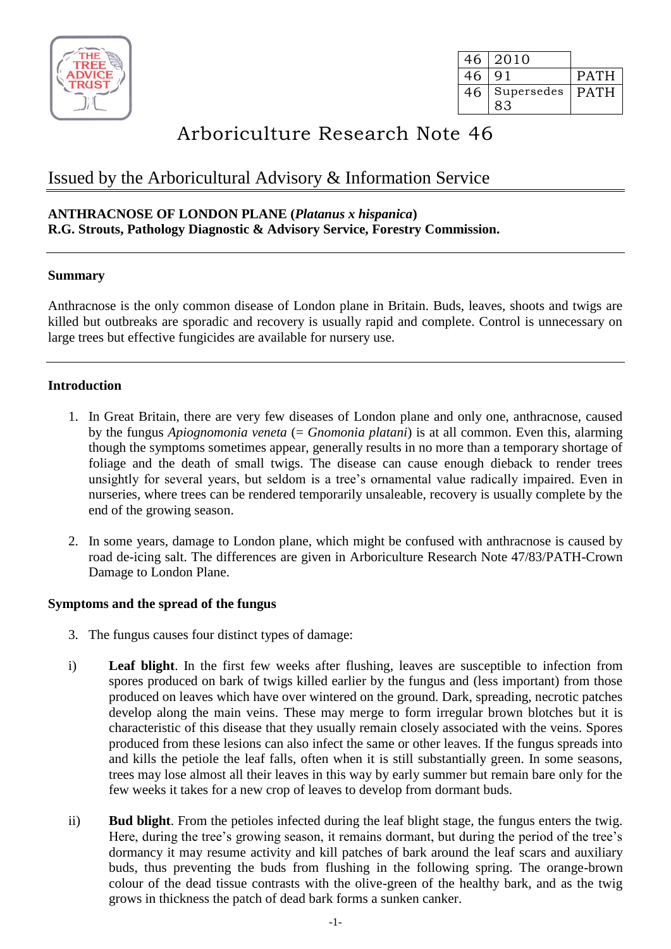

|    | 46 2010         |             |
|----|-----------------|-------------|
| 46 | $\Omega$ 1      | <b>PATH</b> |
|    | 46   Supersedes | I PATH      |

# Arboriculture Research Note 46

# Issued by the Arboricultural Advisory & Information Service

# **ANTHRACNOSE OF LONDON PLANE (***Platanus x hispanica***) R.G. Strouts, Pathology Diagnostic & Advisory Service, Forestry Commission.**

#### **Summary**

Anthracnose is the only common disease of London plane in Britain. Buds, leaves, shoots and twigs are killed but outbreaks are sporadic and recovery is usually rapid and complete. Control is unnecessary on large trees but effective fungicides are available for nursery use.

# **Introduction**

- 1. In Great Britain, there are very few diseases of London plane and only one, anthracnose, caused by the fungus *Apiognomonia veneta* (= *Gnomonia platani*) is at all common. Even this, alarming though the symptoms sometimes appear, generally results in no more than a temporary shortage of foliage and the death of small twigs. The disease can cause enough dieback to render trees unsightly for several years, but seldom is a tree's ornamental value radically impaired. Even in nurseries, where trees can be rendered temporarily unsaleable, recovery is usually complete by the end of the growing season.
- 2. In some years, damage to London plane, which might be confused with anthracnose is caused by road de-icing salt. The differences are given in Arboriculture Research Note 47/83/PATH-Crown Damage to London Plane.

#### **Symptoms and the spread of the fungus**

- 3. The fungus causes four distinct types of damage:
- i) **Leaf blight**. In the first few weeks after flushing, leaves are susceptible to infection from spores produced on bark of twigs killed earlier by the fungus and (less important) from those produced on leaves which have over wintered on the ground. Dark, spreading, necrotic patches develop along the main veins. These may merge to form irregular brown blotches but it is characteristic of this disease that they usually remain closely associated with the veins. Spores produced from these lesions can also infect the same or other leaves. If the fungus spreads into and kills the petiole the leaf falls, often when it is still substantially green. In some seasons, trees may lose almost all their leaves in this way by early summer but remain bare only for the few weeks it takes for a new crop of leaves to develop from dormant buds.
- ii) **Bud blight**. From the petioles infected during the leaf blight stage, the fungus enters the twig. Here, during the tree's growing season, it remains dormant, but during the period of the tree's dormancy it may resume activity and kill patches of bark around the leaf scars and auxiliary buds, thus preventing the buds from flushing in the following spring. The orange-brown colour of the dead tissue contrasts with the olive-green of the healthy bark, and as the twig grows in thickness the patch of dead bark forms a sunken canker.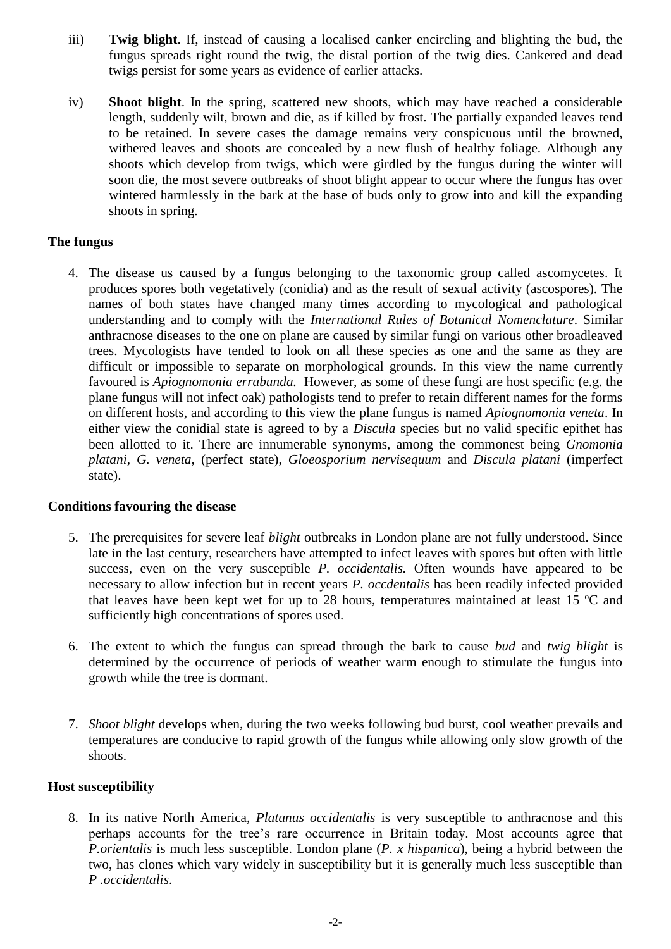- iii) **Twig blight**. If, instead of causing a localised canker encircling and blighting the bud, the fungus spreads right round the twig, the distal portion of the twig dies. Cankered and dead twigs persist for some years as evidence of earlier attacks.
- iv) **Shoot blight**. In the spring, scattered new shoots, which may have reached a considerable length, suddenly wilt, brown and die, as if killed by frost. The partially expanded leaves tend to be retained. In severe cases the damage remains very conspicuous until the browned, withered leaves and shoots are concealed by a new flush of healthy foliage. Although any shoots which develop from twigs, which were girdled by the fungus during the winter will soon die, the most severe outbreaks of shoot blight appear to occur where the fungus has over wintered harmlessly in the bark at the base of buds only to grow into and kill the expanding shoots in spring.

# **The fungus**

4. The disease us caused by a fungus belonging to the taxonomic group called ascomycetes. It produces spores both vegetatively (conidia) and as the result of sexual activity (ascospores). The names of both states have changed many times according to mycological and pathological understanding and to comply with the *International Rules of Botanical Nomenclature*. Similar anthracnose diseases to the one on plane are caused by similar fungi on various other broadleaved trees. Mycologists have tended to look on all these species as one and the same as they are difficult or impossible to separate on morphological grounds. In this view the name currently favoured is *Apiognomonia errabunda.* However, as some of these fungi are host specific (e.g. the plane fungus will not infect oak) pathologists tend to prefer to retain different names for the forms on different hosts, and according to this view the plane fungus is named *Apiognomonia veneta*. In either view the conidial state is agreed to by a *Discula* species but no valid specific epithet has been allotted to it. There are innumerable synonyms, among the commonest being *Gnomonia platani, G. veneta,* (perfect state), *Gloeosporium nervisequum* and *Discula platani* (imperfect state).

#### **Conditions favouring the disease**

- 5. The prerequisites for severe leaf *blight* outbreaks in London plane are not fully understood. Since late in the last century, researchers have attempted to infect leaves with spores but often with little success, even on the very susceptible *P. occidentalis.* Often wounds have appeared to be necessary to allow infection but in recent years *P. occdentalis* has been readily infected provided that leaves have been kept wet for up to 28 hours, temperatures maintained at least 15 ºC and sufficiently high concentrations of spores used.
- 6. The extent to which the fungus can spread through the bark to cause *bud* and *twig blight* is determined by the occurrence of periods of weather warm enough to stimulate the fungus into growth while the tree is dormant.
- 7. *Shoot blight* develops when, during the two weeks following bud burst, cool weather prevails and temperatures are conducive to rapid growth of the fungus while allowing only slow growth of the shoots.

#### **Host susceptibility**

8. In its native North America, *Platanus occidentalis* is very susceptible to anthracnose and this perhaps accounts for the tree's rare occurrence in Britain today. Most accounts agree that *P.orientalis* is much less susceptible. London plane (*P. x hispanica*), being a hybrid between the two, has clones which vary widely in susceptibility but it is generally much less susceptible than *P .occidentalis*.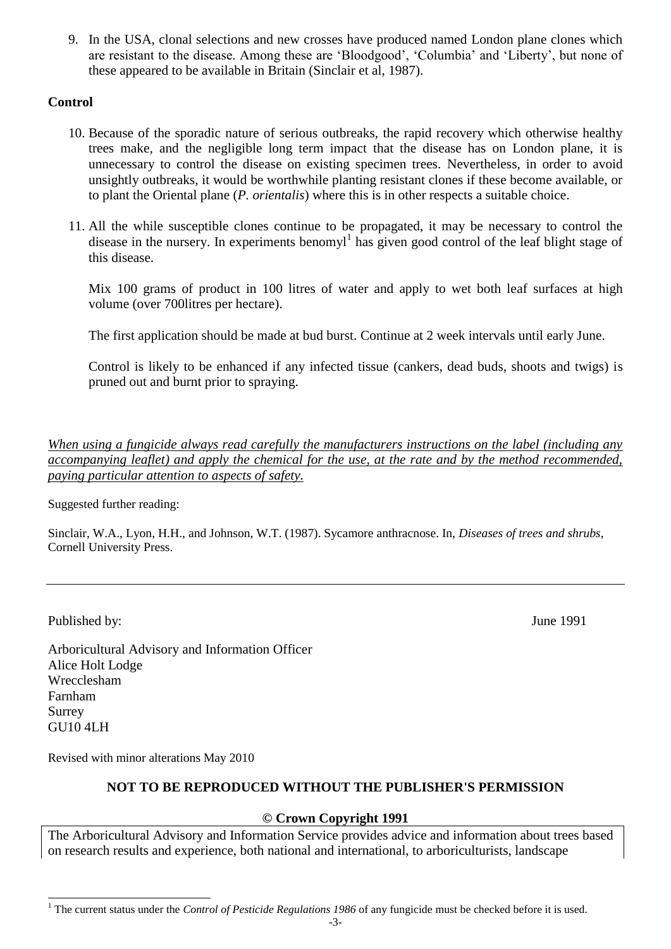9. In the USA, clonal selections and new crosses have produced named London plane clones which are resistant to the disease. Among these are 'Bloodgood', 'Columbia' and 'Liberty', but none of these appeared to be available in Britain (Sinclair et al, 1987).

# **Control**

- 10. Because of the sporadic nature of serious outbreaks, the rapid recovery which otherwise healthy trees make, and the negligible long term impact that the disease has on London plane, it is unnecessary to control the disease on existing specimen trees. Nevertheless, in order to avoid unsightly outbreaks, it would be worthwhile planting resistant clones if these become available, or to plant the Oriental plane (*P. orientalis*) where this is in other respects a suitable choice.
- 11. All the while susceptible clones continue to be propagated, it may be necessary to control the disease in the nursery. In experiments benomyl<sup>1</sup> has given good control of the leaf blight stage of this disease.

Mix 100 grams of product in 100 litres of water and apply to wet both leaf surfaces at high volume (over 700litres per hectare).

The first application should be made at bud burst. Continue at 2 week intervals until early June.

Control is likely to be enhanced if any infected tissue (cankers, dead buds, shoots and twigs) is pruned out and burnt prior to spraying.

*When using a fungicide always read carefully the manufacturers instructions on the label (including any accompanying leaflet) and apply the chemical for the use, at the rate and by the method recommended, paying particular attention to aspects of safety.*

Suggested further reading:

Sinclair, W.A., Lyon, H.H., and Johnson, W.T. (1987). Sycamore anthracnose. In, *Diseases of trees and shrubs*, Cornell University Press.

Published by: June 1991

Arboricultural Advisory and Information Officer Alice Holt Lodge Wrecclesham Farnham Surrey GU10 4LH

Revised with minor alterations May 2010

# **NOT TO BE REPRODUCED WITHOUT THE PUBLISHER'S PERMISSION**

# **© Crown Copyright 1991**

The Arboricultural Advisory and Information Service provides advice and information about trees based on research results and experience, both national and international, to arboriculturists, landscape

l <sup>1</sup> The current status under the *Control of Pesticide Regulations 1986* of any fungicide must be checked before it is used.